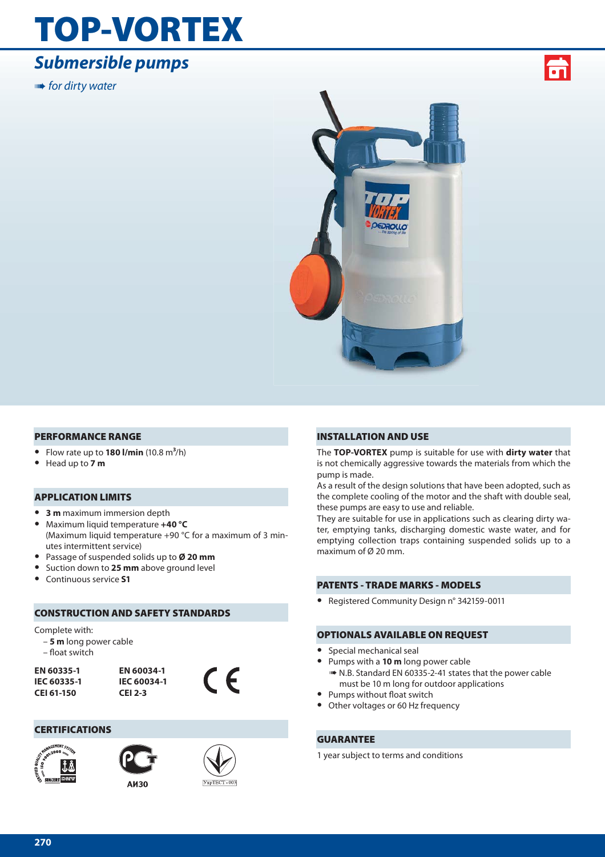## **TOP-VORTEX**

## *Submersible pumps*

**IIIII+** for dirty water





#### **PERFORMANCE RANGE**

- **•** Flow rate up to **180 l/min** (10.8 m**3**/h)
- **•** Head up to **7 m**

#### **APPLICATION LIMITS**

- **• 3 m** maximum immersion depth
- **•** Maximum liquid temperature **+40 °C** (Maximum liquid temperature +90 °C for a maximum of 3 minutes intermittent service)
- **•** Passage of suspended solids up to **Ø 20 mm**
- **•** Suction down to **25 mm** above ground level
- **•** Continuous service **S1**

#### **CONSTRUCTION AND SAFETY STANDARDS**

#### Complete with:

- **5 m** long power cable
- float switch

**EN 60335-1 IEC 60335-1 CEI 61-150**



#### **CERTIFICATIONS**



**AM30** 



 $\epsilon$ 

#### **INSTALLATION AND USE**

The **TOP-VORTEX** pump is suitable for use with **dirty water** that is not chemically aggressive towards the materials from which the pump is made.

As a result of the design solutions that have been adopted, such as the complete cooling of the motor and the shaft with double seal, these pumps are easy to use and reliable.

They are suitable for use in applications such as clearing dirty water, emptying tanks, discharging domestic waste water, and for emptying collection traps containing suspended solids up to a maximum of Ø 20 mm.

#### **PATENTS - TRADE MARKS - MODELS**

**•** Registered Community Design n° 342159-0011

#### **OPTIONALS AVAILABLE ON REQUEST**

- **•** Special mechanical seal
- **•** Pumps with a **10 m** long power cable ➠ N.B. Standard EN 60335-2-41 states that the power cable
- must be 10 m long for outdoor applications
- Pumps without float switch
- **•** Other voltages or 60 Hz frequency

#### **GUARANTEE**

1 year subject to terms and conditions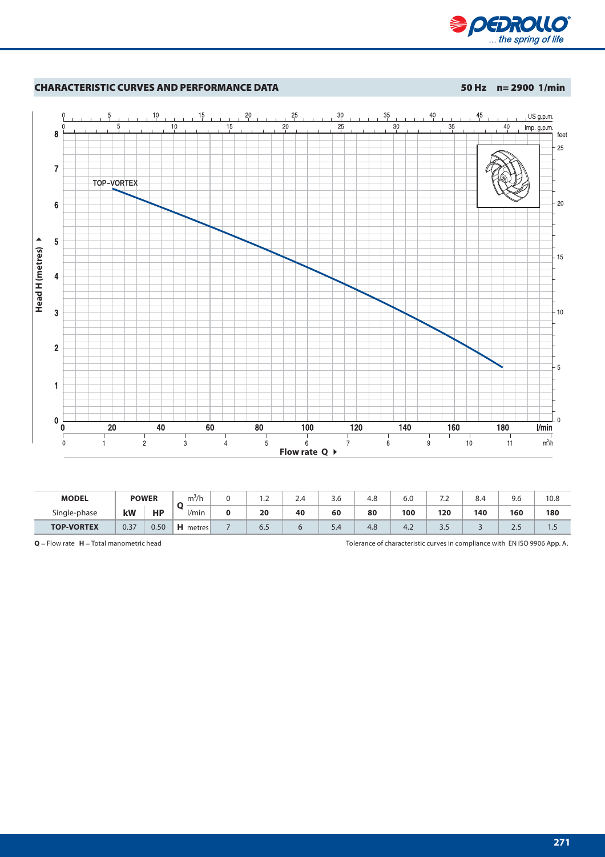



| <b>MODEL</b>      | <b>POWER</b> |           | m <sup>2</sup> /h | $\overline{\phantom{a}}$ | 2.4 | 3.6                            | 4.8 | 6.0 | .   | 8.4 | 9.6    | 10.8 |
|-------------------|--------------|-----------|-------------------|--------------------------|-----|--------------------------------|-----|-----|-----|-----|--------|------|
| Single-phase      | kW           | <b>HP</b> | '/min             | 20                       | 40  | 60                             | 80  | 100 | 120 | 140 | 160    | 180  |
| <b>TOP-VORTEX</b> | 0.37         | 0.50      | н<br>metres       | 6.5                      |     | 54<br>$\overline{\phantom{a}}$ | 4.8 | 4.4 | ر.ر |     | $\sim$ |      |

**Q** = Flow rate **H** = Total manometric head Tolerance of characteristic curves in compliance with EN ISO 9906 App. A.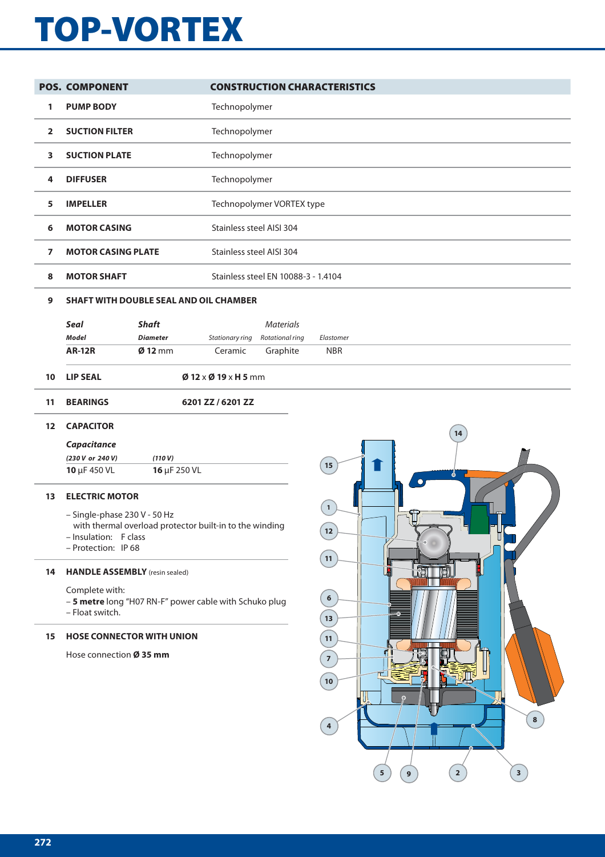# **TOP-VORTEX**

|                   | <b>POS. COMPONENT</b>                 |                 |                                                         | <b>CONSTRUCTION CHARACTERISTICS</b> |              |    |  |
|-------------------|---------------------------------------|-----------------|---------------------------------------------------------|-------------------------------------|--------------|----|--|
| 1                 | <b>PUMP BODY</b>                      |                 | Technopolymer                                           |                                     |              |    |  |
| $\overline{2}$    | <b>SUCTION FILTER</b>                 |                 | Technopolymer                                           |                                     |              |    |  |
| 3                 | <b>SUCTION PLATE</b>                  |                 | Technopolymer                                           |                                     |              |    |  |
| 4                 | <b>DIFFUSER</b>                       |                 | Technopolymer                                           |                                     |              |    |  |
| 5                 | <b>IMPELLER</b>                       |                 |                                                         | Technopolymer VORTEX type           |              |    |  |
| 6                 | <b>MOTOR CASING</b>                   |                 | Stainless steel AISI 304                                |                                     |              |    |  |
| $\overline{ }$    | <b>MOTOR CASING PLATE</b>             |                 | Stainless steel AISI 304                                |                                     |              |    |  |
| 8                 | <b>MOTOR SHAFT</b>                    |                 |                                                         | Stainless steel EN 10088-3 - 1.4104 |              |    |  |
| 9                 |                                       |                 | <b>SHAFT WITH DOUBLE SEAL AND OIL CHAMBER</b>           |                                     |              |    |  |
|                   | Seal                                  | <b>Shaft</b>    |                                                         | <b>Materials</b>                    |              |    |  |
|                   | <b>Model</b>                          | <b>Diameter</b> | Stationary ring                                         | Rotational ring                     | Elastomer    |    |  |
|                   | <b>AR-12R</b>                         | $Ø$ 12 mm       | Ceramic                                                 | Graphite                            | <b>NBR</b>   |    |  |
| 10                | <b>LIP SEAL</b>                       |                 | $\emptyset$ 12 x $\emptyset$ 19 x H 5 mm                |                                     |              |    |  |
| 11                | <b>BEARINGS</b>                       |                 | 6201 ZZ / 6201 ZZ                                       |                                     |              |    |  |
| $12 \overline{ }$ | <b>CAPACITOR</b>                      |                 |                                                         |                                     |              | 14 |  |
|                   | Capacitance                           |                 |                                                         |                                     |              |    |  |
|                   | (230 V or 240 V)                      | (110 V)         |                                                         |                                     |              |    |  |
|                   | 10 µF 450 VL                          | 16 µF 250 VL    |                                                         |                                     | 15           | Ж  |  |
| 13                | <b>ELECTRIC MOTOR</b>                 |                 |                                                         |                                     |              |    |  |
|                   | - Single-phase 230 V - 50 Hz          |                 |                                                         |                                     | $\mathbf{1}$ |    |  |
|                   |                                       |                 | with thermal overload protector built-in to the winding |                                     | $\boxed{12}$ |    |  |
|                   | - Insulation: F class                 |                 |                                                         |                                     |              |    |  |
|                   | - Protection: IP 68                   |                 |                                                         |                                     | 11           |    |  |
| 14                | <b>HANDLE ASSEMBLY</b> (resin sealed) |                 |                                                         |                                     |              | Ñ  |  |

Complete with:

– **5 metre** long "H07 RN-F" power cable with Schuko plug – Float switch.

#### **15 HOSE CONNECTOR WITH UNION**

Hose connection **Ø 35 mm**